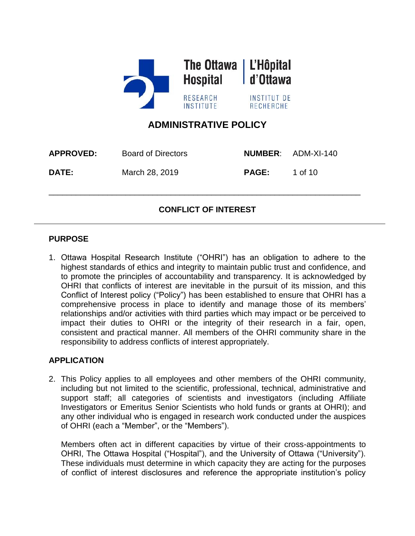

# **ADMINISTRATIVE POLICY**

| <b>APPROVED:</b> | Board of Directors |              | <b>NUMBER: ADM-XI-140</b> |
|------------------|--------------------|--------------|---------------------------|
| <b>DATE:</b>     | March 28, 2019     | <b>PAGE:</b> | 1 of 10                   |

# **CONFLICT OF INTEREST**

\_\_\_\_\_\_\_\_\_\_\_\_\_\_\_\_\_\_\_\_\_\_\_\_\_\_\_\_\_\_\_\_\_\_\_\_\_\_\_\_\_\_\_\_\_\_\_\_\_\_\_\_\_\_\_\_\_\_\_\_\_\_\_\_\_\_\_\_\_

### **PURPOSE**

1. Ottawa Hospital Research Institute ("OHRI") has an obligation to adhere to the highest standards of ethics and integrity to maintain public trust and confidence, and to promote the principles of accountability and transparency. It is acknowledged by OHRI that conflicts of interest are inevitable in the pursuit of its mission, and this Conflict of Interest policy ("Policy") has been established to ensure that OHRI has a comprehensive process in place to identify and manage those of its members' relationships and/or activities with third parties which may impact or be perceived to impact their duties to OHRI or the integrity of their research in a fair, open, consistent and practical manner. All members of the OHRI community share in the responsibility to address conflicts of interest appropriately.

### **APPLICATION**

2. This Policy applies to all employees and other members of the OHRI community, including but not limited to the scientific, professional, technical, administrative and support staff; all categories of scientists and investigators (including Affiliate Investigators or Emeritus Senior Scientists who hold funds or grants at OHRI); and any other individual who is engaged in research work conducted under the auspices of OHRI (each a "Member", or the "Members").

Members often act in different capacities by virtue of their cross-appointments to OHRI, The Ottawa Hospital ("Hospital"), and the University of Ottawa ("University"). These individuals must determine in which capacity they are acting for the purposes of conflict of interest disclosures and reference the appropriate institution's policy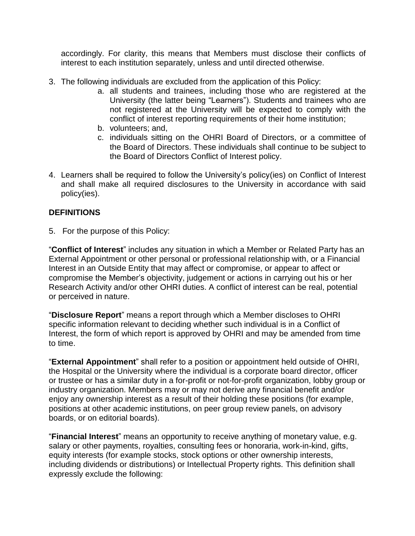accordingly. For clarity, this means that Members must disclose their conflicts of interest to each institution separately, unless and until directed otherwise.

- 3. The following individuals are excluded from the application of this Policy:
	- a. all students and trainees, including those who are registered at the University (the latter being "Learners"). Students and trainees who are not registered at the University will be expected to comply with the conflict of interest reporting requirements of their home institution;
	- b. volunteers; and,
	- c. individuals sitting on the OHRI Board of Directors, or a committee of the Board of Directors. These individuals shall continue to be subject to the Board of Directors Conflict of Interest policy.
- 4. Learners shall be required to follow the University's policy(ies) on Conflict of Interest and shall make all required disclosures to the University in accordance with said policy(ies).

## **DEFINITIONS**

5. For the purpose of this Policy:

"**Conflict of Interest**" includes any situation in which a Member or Related Party has an External Appointment or other personal or professional relationship with, or a Financial Interest in an Outside Entity that may affect or compromise, or appear to affect or compromise the Member's objectivity, judgement or actions in carrying out his or her Research Activity and/or other OHRI duties. A conflict of interest can be real, potential or perceived in nature.

"**Disclosure Report**" means a report through which a Member discloses to OHRI specific information relevant to deciding whether such individual is in a Conflict of Interest, the form of which report is approved by OHRI and may be amended from time to time.

"**External Appointment**" shall refer to a position or appointment held outside of OHRI, the Hospital or the University where the individual is a corporate board director, officer or trustee or has a similar duty in a for-profit or not-for-profit organization, lobby group or industry organization. Members may or may not derive any financial benefit and/or enjoy any ownership interest as a result of their holding these positions (for example, positions at other academic institutions, on peer group review panels, on advisory boards, or on editorial boards).

"**Financial Interest**" means an opportunity to receive anything of monetary value, e.g. salary or other payments, royalties, consulting fees or honoraria, work-in-kind, gifts, equity interests (for example stocks, stock options or other ownership interests, including dividends or distributions) or Intellectual Property rights. This definition shall expressly exclude the following: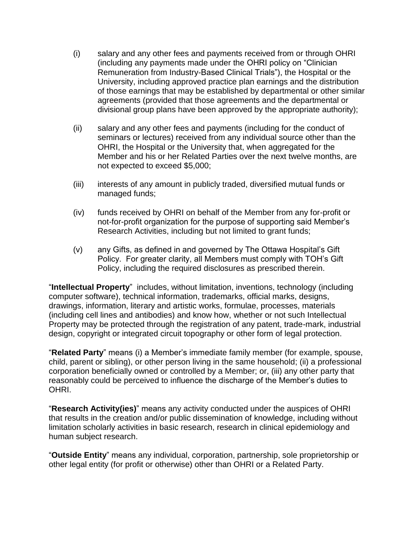- (i) salary and any other fees and payments received from or through OHRI (including any payments made under the OHRI policy on "Clinician Remuneration from Industry-Based Clinical Trials"), the Hospital or the University, including approved practice plan earnings and the distribution of those earnings that may be established by departmental or other similar agreements (provided that those agreements and the departmental or divisional group plans have been approved by the appropriate authority);
- (ii) salary and any other fees and payments (including for the conduct of seminars or lectures) received from any individual source other than the OHRI, the Hospital or the University that, when aggregated for the Member and his or her Related Parties over the next twelve months, are not expected to exceed \$5,000;
- (iii) interests of any amount in publicly traded, diversified mutual funds or managed funds;
- (iv) funds received by OHRI on behalf of the Member from any for-profit or not-for-profit organization for the purpose of supporting said Member's Research Activities, including but not limited to grant funds;
- (v) any Gifts, as defined in and governed by The Ottawa Hospital's Gift Policy. For greater clarity, all Members must comply with TOH's Gift Policy, including the required disclosures as prescribed therein.

"**Intellectual Property**" includes, without limitation, inventions, technology (including computer software), technical information, trademarks, official marks, designs, drawings, information, literary and artistic works, formulae, processes, materials (including cell lines and antibodies) and know how, whether or not such Intellectual Property may be protected through the registration of any patent, trade-mark, industrial design, copyright or integrated circuit topography or other form of legal protection.

"**Related Party**" means (i) a Member's immediate family member (for example, spouse, child, parent or sibling), or other person living in the same household; (ii) a professional corporation beneficially owned or controlled by a Member; or, (iii) any other party that reasonably could be perceived to influence the discharge of the Member's duties to OHRI.

"**Research Activity(ies)**" means any activity conducted under the auspices of OHRI that results in the creation and/or public dissemination of knowledge, including without limitation scholarly activities in basic research, research in clinical epidemiology and human subject research.

"**Outside Entity**" means any individual, corporation, partnership, sole proprietorship or other legal entity (for profit or otherwise) other than OHRI or a Related Party.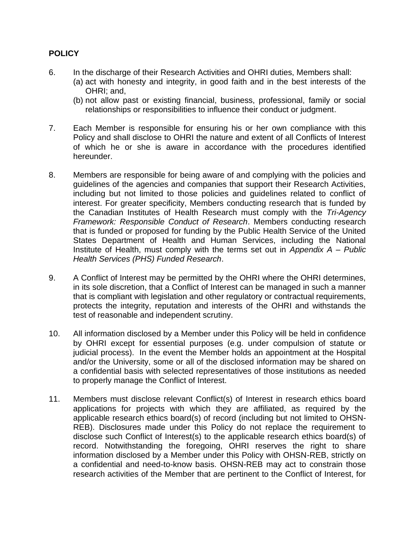## **POLICY**

- 6. In the discharge of their Research Activities and OHRI duties, Members shall:
	- (a) act with honesty and integrity, in good faith and in the best interests of the OHRI; and,
	- (b) not allow past or existing financial, business, professional, family or social relationships or responsibilities to influence their conduct or judgment.
- 7. Each Member is responsible for ensuring his or her own compliance with this Policy and shall disclose to OHRI the nature and extent of all Conflicts of Interest of which he or she is aware in accordance with the procedures identified hereunder.
- 8. Members are responsible for being aware of and complying with the policies and guidelines of the agencies and companies that support their Research Activities, including but not limited to those policies and guidelines related to conflict of interest. For greater specificity, Members conducting research that is funded by the Canadian Institutes of Health Research must comply with the *Tri-Agency Framework: Responsible Conduct of Research*. Members conducting research that is funded or proposed for funding by the Public Health Service of the United States Department of Health and Human Services, including the National Institute of Health, must comply with the terms set out in *Appendix A – Public Health Services (PHS) Funded Research*.
- 9. A Conflict of Interest may be permitted by the OHRI where the OHRI determines, in its sole discretion, that a Conflict of Interest can be managed in such a manner that is compliant with legislation and other regulatory or contractual requirements, protects the integrity, reputation and interests of the OHRI and withstands the test of reasonable and independent scrutiny.
- 10. All information disclosed by a Member under this Policy will be held in confidence by OHRI except for essential purposes (e.g. under compulsion of statute or judicial process). In the event the Member holds an appointment at the Hospital and/or the University, some or all of the disclosed information may be shared on a confidential basis with selected representatives of those institutions as needed to properly manage the Conflict of Interest.
- 11. Members must disclose relevant Conflict(s) of Interest in research ethics board applications for projects with which they are affiliated, as required by the applicable research ethics board(s) of record (including but not limited to OHSN-REB). Disclosures made under this Policy do not replace the requirement to disclose such Conflict of Interest(s) to the applicable research ethics board(s) of record. Notwithstanding the foregoing, OHRI reserves the right to share information disclosed by a Member under this Policy with OHSN-REB, strictly on a confidential and need-to-know basis. OHSN-REB may act to constrain those research activities of the Member that are pertinent to the Conflict of Interest, for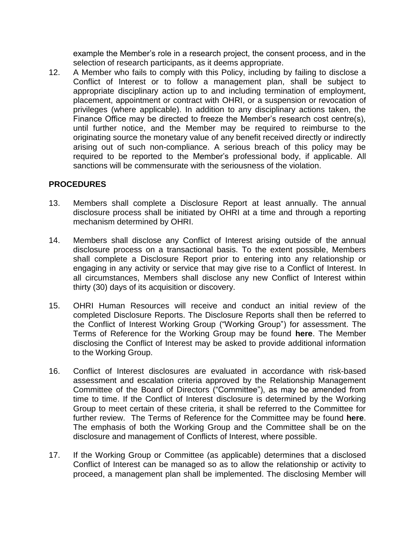example the Member's role in a research project, the consent process, and in the selection of research participants, as it deems appropriate.

12. A Member who fails to comply with this Policy, including by failing to disclose a Conflict of Interest or to follow a management plan, shall be subject to appropriate disciplinary action up to and including termination of employment, placement, appointment or contract with OHRI, or a suspension or revocation of privileges (where applicable). In addition to any disciplinary actions taken, the Finance Office may be directed to freeze the Member's research cost centre(s), until further notice, and the Member may be required to reimburse to the originating source the monetary value of any benefit received directly or indirectly arising out of such non-compliance. A serious breach of this policy may be required to be reported to the Member's professional body, if applicable. All sanctions will be commensurate with the seriousness of the violation.

## **PROCEDURES**

- 13. Members shall complete a Disclosure Report at least annually. The annual disclosure process shall be initiated by OHRI at a time and through a reporting mechanism determined by OHRI.
- 14. Members shall disclose any Conflict of Interest arising outside of the annual disclosure process on a transactional basis. To the extent possible, Members shall complete a Disclosure Report prior to entering into any relationship or engaging in any activity or service that may give rise to a Conflict of Interest. In all circumstances, Members shall disclose any new Conflict of Interest within thirty (30) days of its acquisition or discovery.
- 15. OHRI Human Resources will receive and conduct an initial review of the completed Disclosure Reports. The Disclosure Reports shall then be referred to the Conflict of Interest Working Group ("Working Group") for assessment. The Terms of Reference for the Working Group may be found **here**. The Member disclosing the Conflict of Interest may be asked to provide additional information to the Working Group.
- 16. Conflict of Interest disclosures are evaluated in accordance with risk-based assessment and escalation criteria approved by the Relationship Management Committee of the Board of Directors ("Committee"), as may be amended from time to time. If the Conflict of Interest disclosure is determined by the Working Group to meet certain of these criteria, it shall be referred to the Committee for further review. The Terms of Reference for the Committee may be found **here**. The emphasis of both the Working Group and the Committee shall be on the disclosure and management of Conflicts of Interest, where possible.
- 17. If the Working Group or Committee (as applicable) determines that a disclosed Conflict of Interest can be managed so as to allow the relationship or activity to proceed, a management plan shall be implemented. The disclosing Member will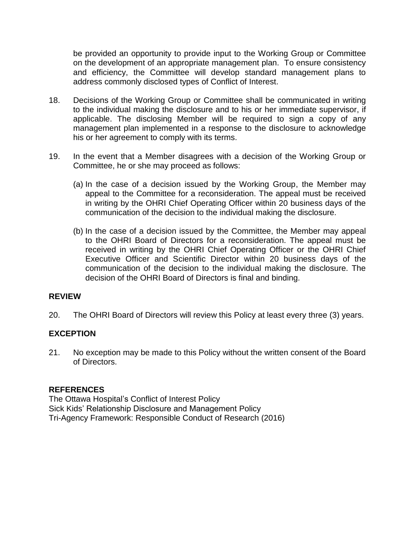be provided an opportunity to provide input to the Working Group or Committee on the development of an appropriate management plan. To ensure consistency and efficiency, the Committee will develop standard management plans to address commonly disclosed types of Conflict of Interest.

- 18. Decisions of the Working Group or Committee shall be communicated in writing to the individual making the disclosure and to his or her immediate supervisor, if applicable. The disclosing Member will be required to sign a copy of any management plan implemented in a response to the disclosure to acknowledge his or her agreement to comply with its terms.
- 19. In the event that a Member disagrees with a decision of the Working Group or Committee, he or she may proceed as follows:
	- (a) In the case of a decision issued by the Working Group, the Member may appeal to the Committee for a reconsideration. The appeal must be received in writing by the OHRI Chief Operating Officer within 20 business days of the communication of the decision to the individual making the disclosure.
	- (b) In the case of a decision issued by the Committee, the Member may appeal to the OHRI Board of Directors for a reconsideration. The appeal must be received in writing by the OHRI Chief Operating Officer or the OHRI Chief Executive Officer and Scientific Director within 20 business days of the communication of the decision to the individual making the disclosure. The decision of the OHRI Board of Directors is final and binding.

### **REVIEW**

20. The OHRI Board of Directors will review this Policy at least every three (3) years.

### **EXCEPTION**

21. No exception may be made to this Policy without the written consent of the Board of Directors.

#### **REFERENCES**

The Ottawa Hospital's Conflict of Interest Policy Sick Kids' Relationship Disclosure and Management Policy Tri-Agency Framework: Responsible Conduct of Research (2016)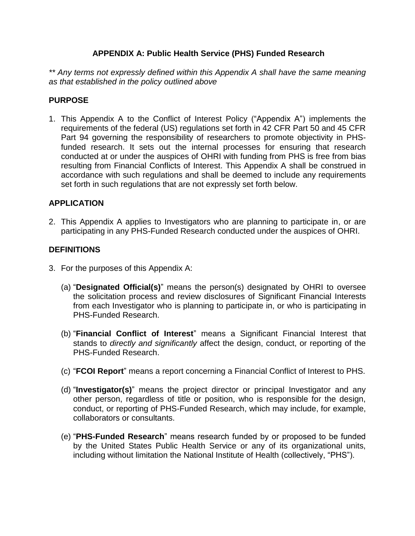## **APPENDIX A: Public Health Service (PHS) Funded Research**

*\*\* Any terms not expressly defined within this Appendix A shall have the same meaning as that established in the policy outlined above*

### **PURPOSE**

1. This Appendix A to the Conflict of Interest Policy ("Appendix A") implements the requirements of the federal (US) regulations set forth in 42 CFR Part 50 and 45 CFR Part 94 governing the responsibility of researchers to promote objectivity in PHSfunded research. It sets out the internal processes for ensuring that research conducted at or under the auspices of OHRI with funding from PHS is free from bias resulting from Financial Conflicts of Interest. This Appendix A shall be construed in accordance with such regulations and shall be deemed to include any requirements set forth in such regulations that are not expressly set forth below.

## **APPLICATION**

2. This Appendix A applies to Investigators who are planning to participate in, or are participating in any PHS-Funded Research conducted under the auspices of OHRI.

## **DEFINITIONS**

- 3. For the purposes of this Appendix A:
	- (a) "**Designated Official(s)**" means the person(s) designated by OHRI to oversee the solicitation process and review disclosures of Significant Financial Interests from each Investigator who is planning to participate in, or who is participating in PHS-Funded Research.
	- (b) "**Financial Conflict of Interest**" means a Significant Financial Interest that stands to *directly and significantly* affect the design, conduct, or reporting of the PHS-Funded Research.
	- (c) "**FCOI Report**" means a report concerning a Financial Conflict of Interest to PHS.
	- (d) "**Investigator(s)**" means the project director or principal Investigator and any other person, regardless of title or position, who is responsible for the design, conduct, or reporting of PHS-Funded Research, which may include, for example, collaborators or consultants.
	- (e) "**PHS-Funded Research**" means research funded by or proposed to be funded by the United States Public Health Service or any of its organizational units, including without limitation the National Institute of Health (collectively, "PHS").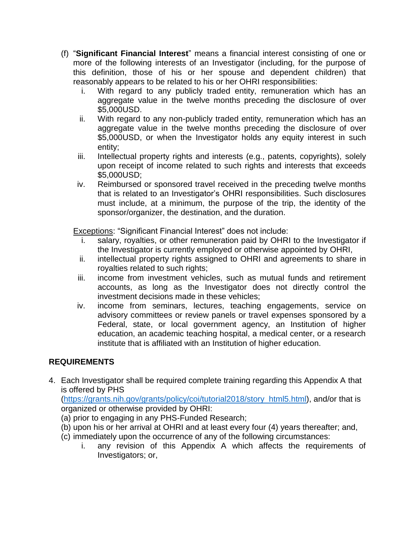- (f) "**Significant Financial Interest**" means a financial interest consisting of one or more of the following interests of an Investigator (including, for the purpose of this definition, those of his or her spouse and dependent children) that reasonably appears to be related to his or her OHRI responsibilities:
	- i. With regard to any publicly traded entity, remuneration which has an aggregate value in the twelve months preceding the disclosure of over \$5,000USD.
	- ii. With regard to any non-publicly traded entity, remuneration which has an aggregate value in the twelve months preceding the disclosure of over \$5,000USD, or when the Investigator holds any equity interest in such entity;
	- iii. Intellectual property rights and interests (e.g., patents, copyrights), solely upon receipt of income related to such rights and interests that exceeds \$5,000USD;
	- iv. Reimbursed or sponsored travel received in the preceding twelve months that is related to an Investigator's OHRI responsibilities. Such disclosures must include, at a minimum, the purpose of the trip, the identity of the sponsor/organizer, the destination, and the duration.

Exceptions: "Significant Financial Interest" does not include:

- salary, royalties, or other remuneration paid by OHRI to the Investigator if the Investigator is currently employed or otherwise appointed by OHRI,
- ii. intellectual property rights assigned to OHRI and agreements to share in royalties related to such rights;
- iii. income from investment vehicles, such as mutual funds and retirement accounts, as long as the Investigator does not directly control the investment decisions made in these vehicles;
- iv. income from seminars, lectures, teaching engagements, service on advisory committees or review panels or travel expenses sponsored by a Federal, state, or local government agency, an Institution of higher education, an academic teaching hospital, a medical center, or a research institute that is affiliated with an Institution of higher education.

# **REQUIREMENTS**

4. Each Investigator shall be required complete training regarding this Appendix A that is offered by PHS

[\(https://grants.nih.gov/grants/policy/coi/tutorial2018/story\\_html5.html\)](https://grants.nih.gov/grants/policy/coi/tutorial2018/story_html5.html), and/or that is organized or otherwise provided by OHRI:

- (a) prior to engaging in any PHS-Funded Research;
- (b) upon his or her arrival at OHRI and at least every four (4) years thereafter; and,
- (c) immediately upon the occurrence of any of the following circumstances:
	- i. any revision of this Appendix A which affects the requirements of Investigators; or,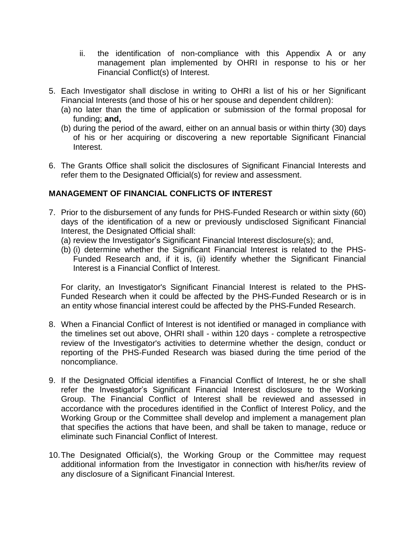- ii. the identification of non-compliance with this Appendix A or any management plan implemented by OHRI in response to his or her Financial Conflict(s) of Interest.
- 5. Each Investigator shall disclose in writing to OHRI a list of his or her Significant Financial Interests (and those of his or her spouse and dependent children):
	- (a) no later than the time of application or submission of the formal proposal for funding; **and,**
	- (b) during the period of the award, either on an annual basis or within thirty (30) days of his or her acquiring or discovering a new reportable Significant Financial Interest.
- 6. The Grants Office shall solicit the disclosures of Significant Financial Interests and refer them to the Designated Official(s) for review and assessment.

## **MANAGEMENT OF FINANCIAL CONFLICTS OF INTEREST**

- 7. Prior to the disbursement of any funds for PHS-Funded Research or within sixty (60) days of the identification of a new or previously undisclosed Significant Financial Interest, the Designated Official shall:
	- (a) review the Investigator's Significant Financial Interest disclosure(s); and,
	- (b) (i) determine whether the Significant Financial Interest is related to the PHS-Funded Research and, if it is, (ii) identify whether the Significant Financial Interest is a Financial Conflict of Interest.

For clarity, an Investigator's Significant Financial Interest is related to the PHS-Funded Research when it could be affected by the PHS-Funded Research or is in an entity whose financial interest could be affected by the PHS-Funded Research.

- 8. When a Financial Conflict of Interest is not identified or managed in compliance with the timelines set out above, OHRI shall - within 120 days - complete a retrospective review of the Investigator's activities to determine whether the design, conduct or reporting of the PHS-Funded Research was biased during the time period of the noncompliance.
- 9. If the Designated Official identifies a Financial Conflict of Interest, he or she shall refer the Investigator's Significant Financial Interest disclosure to the Working Group. The Financial Conflict of Interest shall be reviewed and assessed in accordance with the procedures identified in the Conflict of Interest Policy, and the Working Group or the Committee shall develop and implement a management plan that specifies the actions that have been, and shall be taken to manage, reduce or eliminate such Financial Conflict of Interest.
- 10.The Designated Official(s), the Working Group or the Committee may request additional information from the Investigator in connection with his/her/its review of any disclosure of a Significant Financial Interest.